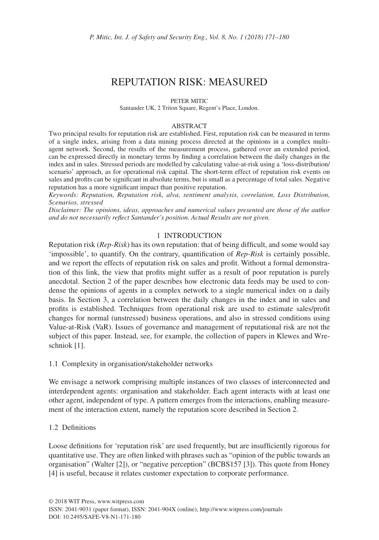# REPUTATION RISK: MEASURED

#### PETER MITIC

Santander UK, 2 Triton Square, Regent's Place, London.

## ABSTRACT

Two principal results for reputation risk are established. First, reputation risk can be measured in terms of a single index, arising from a data mining process directed at the opinions in a complex multiagent network. Second, the results of the measurement process, gathered over an extended period, can be expressed directly in monetary terms by finding a correlation between the daily changes in the index and in sales. Stressed periods are modelled by calculating value-at-risk using a 'loss-distribution/ scenario' approach, as for operational risk capital. The short-term effect of reputation risk events on sales and profits can be significant in absolute terms, but is small as a percentage of total sales. Negative reputation has a more significant impact than positive reputation.

*Keywords: Reputation, Reputation risk, alva, sentiment analysis, correlation, Loss Distribution, Scenarios, stressed*

*Disclaimer: The opinions, ideas, approaches and numerical values presented are those of the author and do not necessarily reflect Santander's position. Actual Results are not given.*

## 1 INTRODUCTION

Reputation risk (*Rep-Risk*) has its own reputation: that of being difficult, and some would say 'impossible', to quantify. On the contrary, quantification of *Rep-Risk* is certainly possible, and we report the effects of reputation risk on sales and profit. Without a formal demonstration of this link, the view that profits might suffer as a result of poor reputation is purely anecdotal. Section 2 of the paper describes how electronic data feeds may be used to condense the opinions of agents in a complex network to a single numerical index on a daily basis. In Section 3, a correlation between the daily changes in the index and in sales and profits is established. Techniques from operational risk are used to estimate sales/profit changes for normal (unstressed) business operations, and also in stressed conditions using Value-at-Risk (VaR). Issues of governance and management of reputational risk are not the subject of this paper. Instead, see, for example, the collection of papers in Klewes and Wreschniok [1].

1.1 Complexity in organisation/stakeholder networks

We envisage a network comprising multiple instances of two classes of interconnected and interdependent agents: organisation and stakeholder. Each agent interacts with at least one other agent, independent of type. A pattern emerges from the interactions, enabling measurement of the interaction extent, namely the reputation score described in Section 2.

## 1.2 Definitions

Loose definitions for 'reputation risk' are used frequently, but are insufficiently rigorous for quantitative use. They are often linked with phrases such as "opinion of the public towards an organisation" (Walter [2]), or "negative perception" (BCBS157 [3]). This quote from Honey [4] is useful, because it relates customer expectation to corporate performance.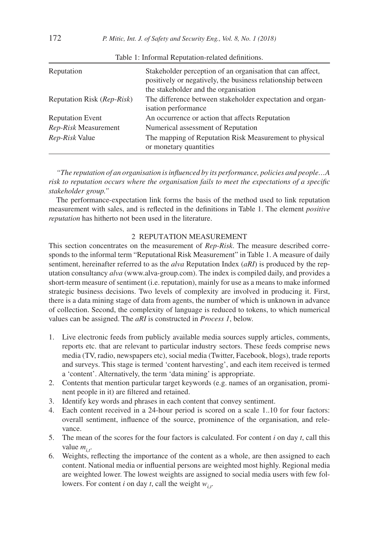| Reputation                 | Stakeholder perception of an organisation that can affect,<br>positively or negatively, the business relationship between<br>the stakeholder and the organisation |
|----------------------------|-------------------------------------------------------------------------------------------------------------------------------------------------------------------|
| Reputation Risk (Rep-Risk) | The difference between stakeholder expectation and organ-<br>isation performance                                                                                  |
| <b>Reputation Event</b>    | An occurrence or action that affects Reputation                                                                                                                   |
| Rep-Risk Measurement       | Numerical assessment of Reputation                                                                                                                                |
| <i>Rep-Risk</i> Value      | The mapping of Reputation Risk Measurement to physical<br>or monetary quantities                                                                                  |

Table 1: Informal Reputation-related definitions.

*"The reputation of an organisation is influenced by its performance, policies and people…A risk to reputation occurs where the organisation fails to meet the expectations of a specific stakeholder group."*

The performance-expectation link forms the basis of the method used to link reputation measurement with sales, and is reflected in the definitions in Table 1. The element *positive reputation* has hitherto not been used in the literature.

## 2 REPUTATION MEASUREMENT

This section concentrates on the measurement of *Rep-Risk*. The measure described corresponds to the informal term "Reputational Risk Measurement" in Table 1. A measure of daily sentiment, hereinafter referred to as the *alva* Reputation Index (*aRI*) is produced by the reputation consultancy *alva* (www.alva-group.com). The index is compiled daily, and provides a short-term measure of sentiment (i.e. reputation), mainly for use as a means to make informed strategic business decisions. Two levels of complexity are involved in producing it. First, there is a data mining stage of data from agents, the number of which is unknown in advance of collection. Second, the complexity of language is reduced to tokens, to which numerical values can be assigned. The *aRI* is constructed in *Process 1*, below.

- 1. Live electronic feeds from publicly available media sources supply articles, comments, reports etc. that are relevant to particular industry sectors. These feeds comprise news media (TV, radio, newspapers etc), social media (Twitter, Facebook, blogs), trade reports and surveys. This stage is termed 'content harvesting', and each item received is termed a 'content'. Alternatively, the term 'data mining' is appropriate.
- 2. Contents that mention particular target keywords (e.g. names of an organisation, prominent people in it) are filtered and retained.
- 3. Identify key words and phrases in each content that convey sentiment.
- 4. Each content received in a 24-hour period is scored on a scale 1..10 for four factors: overall sentiment, influence of the source, prominence of the organisation, and relevance.
- 5. The mean of the scores for the four factors is calculated. For content *i* on day *t*, call this value  $m_{i,t}$ .
- 6. Weights, reflecting the importance of the content as a whole, are then assigned to each content. National media or influential persons are weighted most highly. Regional media are weighted lower. The lowest weights are assigned to social media users with few followers. For content *i* on day *t*, call the weight  $w_{i,t}$ .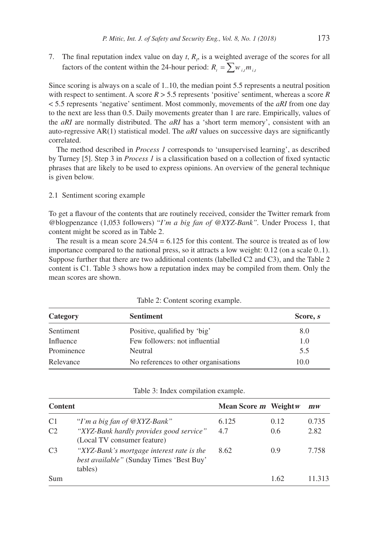7. The final reputation index value on day  $t$ ,  $R_t$ , is a weighted average of the scores for all factors of the content within the 24-hour period:  $R_i = \sum w_{i,t} m_{i,t}$ 

Since scoring is always on a scale of 1..10, the median point 5.5 represents a neutral position with respect to sentiment. A score  $R > 5.5$  represents 'positive' sentiment, whereas a score R < 5.5 represents 'negative' sentiment. Most commonly, movements of the *aRI* from one day to the next are less than 0.5. Daily movements greater than 1 are rare. Empirically, values of the *aRI* are normally distributed. The *aRI* has a 'short term memory', consistent with an auto-regressive AR(1) statistical model. The *aRI* values on successive days are significantly correlated.

The method described in *Process 1* corresponds to 'unsupervised learning', as described by Turney [5]. Step 3 in *Process 1* is a classification based on a collection of fixed syntactic phrases that are likely to be used to express opinions. An overview of the general technique is given below.

## 2.1 Sentiment scoring example

To get a flavour of the contents that are routinely received, consider the Twitter remark from @blogpenzance (1,053 followers) "*I'm a big fan of @XYZ-Bank".* Under Process 1, that content might be scored as in Table 2.

The result is a mean score  $24.5/4 = 6.125$  for this content. The source is treated as of low importance compared to the national press, so it attracts a low weight: 0.12 (on a scale 0..1). Suppose further that there are two additional contents (labelled C2 and C3), and the Table 2 content is C1. Table 3 shows how a reputation index may be compiled from them. Only the mean scores are shown.

| Category   | <b>Sentiment</b>                     | Score, s |
|------------|--------------------------------------|----------|
| Sentiment  | Positive, qualified by 'big'         | 8.0      |
| Influence  | Few followers: not influential       | 1.0      |
| Prominence | Neutral                              | 5.5      |
| Relevance  | No references to other organisations | 10.0     |

|  | Table 2: Content scoring example. |
|--|-----------------------------------|
|  |                                   |

|  | Table 3: Index compilation example. |  |
|--|-------------------------------------|--|
|  |                                     |  |

| <b>Content</b> |                                                                                                  | Mean Score $m$ Weight $w$ |               | $\boldsymbol{m}\boldsymbol{w}$ |
|----------------|--------------------------------------------------------------------------------------------------|---------------------------|---------------|--------------------------------|
| C <sub>1</sub> | "I'm a big fan of @XYZ-Bank"                                                                     | 6.125                     | 0.12          | 0.735                          |
| C <sub>2</sub> | "XYZ-Bank hardly provides good service"<br>(Local TV consumer feature)                           | 4.7                       | $0.6^{\circ}$ | 2.82                           |
| C <sub>3</sub> | "XYZ-Bank's mortgage interest rate is the<br>best available" (Sunday Times 'Best Buy'<br>tables) | 8.62                      | (0.9)         | 7.758                          |
| Sum            |                                                                                                  |                           | 1.62          | 11.313                         |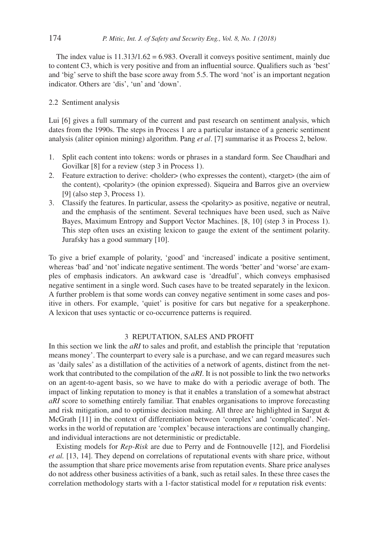The index value is  $11.313/1.62 = 6.983$ . Overall it conveys positive sentiment, mainly due to content C3, which is very positive and from an influential source. Qualifiers such as 'best' and 'big' serve to shift the base score away from 5.5. The word 'not' is an important negation indicator. Others are 'dis', 'un' and 'down'.

## 2.2 Sentiment analysis

Lui [6] gives a full summary of the current and past research on sentiment analysis, which dates from the 1990s. The steps in Process 1 are a particular instance of a generic sentiment analysis (aliter opinion mining) algorithm. Pang *et al*. [7] summarise it as Process 2, below.

- 1. Split each content into tokens: words or phrases in a standard form. See Chaudhari and Govilkar [8] for a review (step 3 in Process 1).
- 2. Feature extraction to derive: <holder> (who expresses the content), <target> (the aim of the content), <polarity> (the opinion expressed). Siqueira and Barros give an overview [9] (also step 3, Process 1).
- 3. Classify the features. In particular, assess the <polarity> as positive, negative or neutral, and the emphasis of the sentiment. Several techniques have been used, such as Naïve Bayes, Maximum Entropy and Support Vector Machines. [8, 10] (step 3 in Process 1). This step often uses an existing lexicon to gauge the extent of the sentiment polarity. Jurafsky has a good summary [10].

To give a brief example of polarity, 'good' and 'increased' indicate a positive sentiment, whereas 'bad' and 'not' indicate negative sentiment. The words 'better' and 'worse' are examples of emphasis indicators. An awkward case is 'dreadful', which conveys emphasised negative sentiment in a single word. Such cases have to be treated separately in the lexicon. A further problem is that some words can convey negative sentiment in some cases and positive in others. For example, 'quiet' is positive for cars but negative for a speakerphone. A lexicon that uses syntactic or co-occurrence patterns is required.

## 3 REPUTATION, SALES AND PROFIT

In this section we link the *aRI* to sales and profit, and establish the principle that 'reputation means money'. The counterpart to every sale is a purchase, and we can regard measures such as 'daily sales' as a distillation of the activities of a network of agents, distinct from the network that contributed to the compilation of the *aRI*. It is not possible to link the two networks on an agent-to-agent basis, so we have to make do with a periodic average of both. The impact of linking reputation to money is that it enables a translation of a somewhat abstract *aRI* score to something entirely familiar. That enables organisations to improve forecasting and risk mitigation, and to optimise decision making. All three are highlighted in Sargut & McGrath [11] in the context of differentiation between 'complex' and 'complicated'. Networks in the world of reputation are 'complex' because interactions are continually changing, and individual interactions are not deterministic or predictable.

Existing models for *Rep-Risk* are due to Perry and de Fontnouvelle [12], and Fiordelisi *et al.* [13, 14]. They depend on correlations of reputational events with share price, without the assumption that share price movements arise from reputation events. Share price analyses do not address other business activities of a bank, such as retail sales. In these three cases the correlation methodology starts with a 1-factor statistical model for *n* reputation risk events: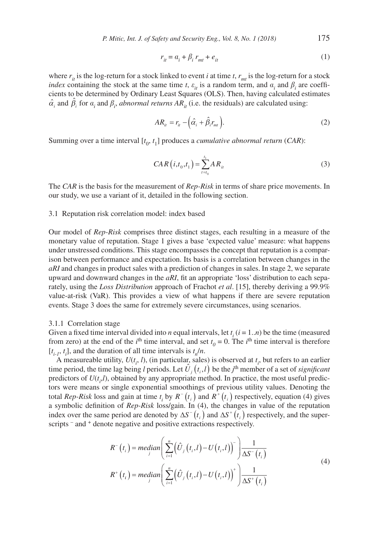$$
r_{it} = a_i + \beta_i r_{mt} + e_{it} \tag{1}
$$

where  $r_{it}$  is the log-return for a stock linked to event *i* at time *t*,  $r_{mt}$  is the log-return for a stock *index* containing the stock at the same time *t*,  $\varepsilon$ <sup>*it*</sup> is a random term, and  $a$ <sup>*i*</sup> and  $\beta$ <sup>*i*</sup> are coefficients to be determined by Ordinary Least Squares (OLS). Then, having calculated estimates  $\hat{\alpha}_i$  and  $\hat{\beta}_i$  for  $a_i$  and  $\beta_i$ , *abnormal returns*  $AR_{it}$  (i.e. the residuals) are calculated using:

$$
AR_{it} = r_{it} - \left(\hat{\alpha}_i + \hat{\beta}_i r_{mt}\right).
$$
 (2)

Summing over a time interval [*t* 0, *t* 1] produces a *cumulative abnormal return* (*CAR*):

$$
CAR(i, t_0, t_1) = \sum_{t=t_0}^{t_1} AR_{it}
$$
 (3)

The *CAR* is the basis for the measurement of *Rep-Risk* in terms of share price movements. In our study, we use a variant of it, detailed in the following section.

#### 3.1 Reputation risk correlation model: index based

Our model of *Rep-Risk* comprises three distinct stages, each resulting in a measure of the monetary value of reputation. Stage 1 gives a base 'expected value' measure: what happens under unstressed conditions. This stage encompasses the concept that reputation is a comparison between performance and expectation. Its basis is a correlation between changes in the *aRI* and changes in product sales with a prediction of changes in sales. In stage 2, we separate upward and downward changes in the *aRI*, fit an appropriate 'loss' distribution to each separately, using the *Loss Distribution* approach of Frachot *et al*. [15], thereby deriving a 99.9% value-at-risk (VaR). This provides a view of what happens if there are severe reputation events. Stage 3 does the same for extremely severe circumstances, using scenarios.

#### 3.1.1 Correlation stage

Given a fixed time interval divided into *n* equal intervals, let  $t_i$  ( $i = 1..n$ ) be the time (measured from zero) at the end of the  $i<sup>th</sup>$  time interval, and set  $t_0 = 0$ . The  $i<sup>th</sup>$  time interval is therefore  $[t_{i-1}, t_i]$ , and the duration of all time intervals is  $t_n/n$ .

A measureable utility,  $U(t_i, l)$ , (in particular, sales) is observed at  $t_i$ , but refers to an earlier time period, the time lag being *l* periods. Let  $\hat{U}_j(t_i, l)$  be the *j*<sup>th</sup> member of a set of *significant* predictors of  $U(t_i, l)$ , obtained by any appropriate method. In practice, the most useful predictors were means or single exponential smoothings of previous utility values. Denoting the total *Rep-Risk* loss and gain at time  $t_i$  by  $R^-(t_i)$  and  $R^+(t_i)$  respectively, equation (4) gives a symbolic definition of *Rep-Risk* loss/gain. In (4), the changes in value of the reputation index over the same period are denoted by  $\Delta S^-(t_i)$  and  $\Delta S^+(t_i)$  respectively, and the superscripts <sup>–</sup> and <sup>+</sup> denote negative and positive extractions respectively.

$$
R^{-}(t_{i}) = median \left(\sum_{i=1}^{n} (\hat{U}_{j}(t_{i},l)-U(t_{i},l))\right)^{-}\right) \frac{1}{\Delta S^{-}(t_{i})}
$$
  
\n
$$
R^{+}(t_{i}) = median \left(\sum_{i=1}^{n} (\hat{U}_{j}(t_{i},l)-U(t_{i},l))\right)^{+}\right) \frac{1}{\Delta S^{+}(t_{i})}
$$
\n(4)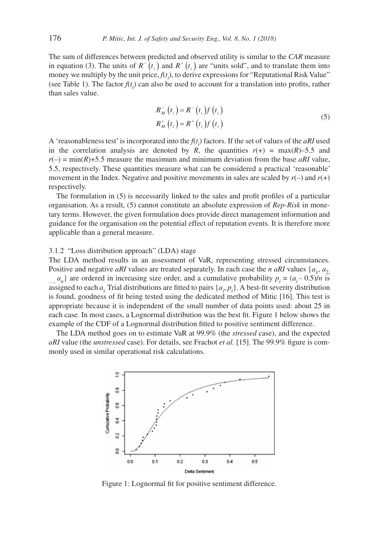The sum of differences between predicted and observed utility is similar to the *CAR* measure in equation (3). The units of  $R^{-}(t_i)$  and  $R^{+}(t_i)$  are "units sold", and to translate them into money we multiply by the unit price,  $f(t_i)$ , to derive expressions for "Reputational Risk Value" (see Table 1). The factor  $f(t_i)$  can also be used to account for a translation into profits, rather than sales value.

$$
R_M^-(t_i) = R^-(t_i) f(t_i)
$$
  
\n
$$
R_M^+(t_i) = R^+(t_i) f(t_i)
$$
\n(5)

A 'reasonableness test' is incorporated into the  $f(t_i)$  factors. If the set of values of the *aRI* used in the correlation analysis are denoted by *R*, the quantities  $r(+) = \max(R) - 5.5$  and  $r(-) = min(R) + 5.5$  measure the maximum and minimum deviation from the base *aRI* value, 5.5, respectively. These quantities measure what can be considered a practical 'reasonable' movement in the Index. Negative and positive movements in sales are scaled by  $r(-)$  and  $r(+)$ respectively.

The formulation in (5) is necessarily linked to the sales and profit profiles of a particular organisation. As a result, (5) cannot constitute an absolute expression of *Rep-Risk* in monetary terms. However, the given formulation does provide direct management information and guidance for the organisation on the potential effect of reputation events. It is therefore more applicable than a general measure.

## 3.1.2 "Loss distribution approach" (LDA) stage

The LDA method results in an assessment of VaR, representing stressed circumstances. Positive and negative *aRI* values are treated separately. In each case the *n aRI* values  $\{a_1, a_2, a_3, a_4, a_5, a_6, a_7, a_8, a_9, a_9, a_9, a_9, a_9, a_1, a_2, a_3, a_4, a_5, a_6, a_7, a_8, a_9, a_9, a_9, a_1, a_2, a_3, a_4, a_5, a_6, a_7, a$ 

 $a_n$ } are ordered in increasing size order, and a cumulative probability  $p_i = (a_i - 0.5)/n$  is assigned to each  $a_i$ . Trial distributions are fitted to pairs  $\{a_i, p_i\}$ . A best-fit severity distribution is found, goodness of fit being tested using the dedicated method of Mitic [16]. This test is appropriate because it is independent of the small number of data points used: about 25 in each case. In most cases, a Lognormal distribution was the best fit. Figure 1 below shows the example of the CDF of a Lognormal distribution fitted to positive sentiment difference.

The LDA method goes on to estimate VaR at 99.9% (the *stressed* case), and the expected *aRI* value (the *unstressed* case). For details, see Frachot *et al.* [15]. The 99.9% figure is commonly used in similar operational risk calculations.



Figure 1: Lognormal fit for positive sentiment difference.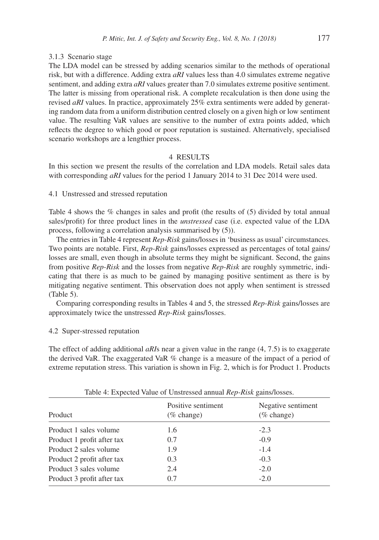## 3.1.3 Scenario stage

The LDA model can be stressed by adding scenarios similar to the methods of operational risk, but with a difference. Adding extra *aRI* values less than 4.0 simulates extreme negative sentiment, and adding extra *aRI* values greater than 7.0 simulates extreme positive sentiment. The latter is missing from operational risk. A complete recalculation is then done using the revised *aRI* values. In practice, approximately 25% extra sentiments were added by generating random data from a uniform distribution centred closely on a given high or low sentiment value. The resulting VaR values are sensitive to the number of extra points added, which reflects the degree to which good or poor reputation is sustained. Alternatively, specialised scenario workshops are a lengthier process.

## 4 RESULTS

In this section we present the results of the correlation and LDA models. Retail sales data with corresponding *aRI* values for the period 1 January 2014 to 31 Dec 2014 were used.

4.1 Unstressed and stressed reputation

Table 4 shows the % changes in sales and profit (the results of (5) divided by total annual sales/profit) for three product lines in the *unstressed* case (i.e. expected value of the LDA process, following a correlation analysis summarised by (5)).

The entries in Table 4 represent *Rep-Risk* gains/losses in 'business as usual' circumstances. Two points are notable. First, *Rep-Risk* gains/losses expressed as percentages of total gains/ losses are small, even though in absolute terms they might be significant. Second, the gains from positive *Rep-Risk* and the losses from negative *Rep-Risk* are roughly symmetric, indicating that there is as much to be gained by managing positive sentiment as there is by mitigating negative sentiment. This observation does not apply when sentiment is stressed (Table 5).

Comparing corresponding results in Tables 4 and 5, the stressed *Rep-Risk* gains/losses are approximately twice the unstressed *Rep-Risk* gains/losses.

#### 4.2 Super-stressed reputation

The effect of adding additional *aRI*s near a given value in the range (4, 7.5) is to exaggerate the derived VaR. The exaggerated VaR % change is a measure of the impact of a period of extreme reputation stress. This variation is shown in Fig. 2, which is for Product 1. Products

| Product                    | Positive sentiment<br>$(\%$ change) | Negative sentiment<br>$(\%$ change) |
|----------------------------|-------------------------------------|-------------------------------------|
| Product 1 sales volume     | 1.6                                 | $-2.3$                              |
| Product 1 profit after tax | 0.7                                 | $-0.9$                              |
| Product 2 sales volume     | 1.9                                 | $-1.4$                              |
| Product 2 profit after tax | 0.3                                 | $-0.3$                              |
| Product 3 sales volume     | 2.4                                 | $-2.0$                              |
| Product 3 profit after tax | 0.7                                 | $-2.0$                              |
|                            |                                     |                                     |

| Table 4: Expected Value of Unstressed annual Rep-Risk gains/losses. |  |  |  |  |  |
|---------------------------------------------------------------------|--|--|--|--|--|
|---------------------------------------------------------------------|--|--|--|--|--|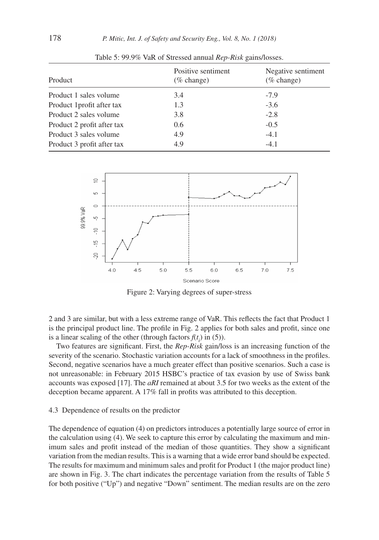| Product                    | Positive sentiment<br>$(\%$ change) | Negative sentiment<br>$(\%$ change) |
|----------------------------|-------------------------------------|-------------------------------------|
| Product 1 sales volume     | 3.4                                 | $-7.9$                              |
| Product 1 profit after tax | 1.3                                 | $-3.6$                              |
| Product 2 sales volume     | 3.8                                 | $-2.8$                              |
| Product 2 profit after tax | $0.6^{\circ}$                       | $-0.5$                              |
| Product 3 sales volume     | 4.9                                 | $-4.1$                              |
| Product 3 profit after tax | 4.9                                 | $-4.1$                              |

Table 5: 99.9% VaR of Stressed annual *Rep-Risk* gains/losses.



Figure 2: Varying degrees of super-stress

2 and 3 are similar, but with a less extreme range of VaR. This reflects the fact that Product 1 is the principal product line. The profile in Fig. 2 applies for both sales and profit, since one is a linear scaling of the other (through factors  $f(t_i)$  in (5)).

Two features are significant. First, the *Rep-Risk* gain/loss is an increasing function of the severity of the scenario. Stochastic variation accounts for a lack of smoothness in the profiles. Second, negative scenarios have a much greater effect than positive scenarios. Such a case is not unreasonable: in February 2015 HSBC's practice of tax evasion by use of Swiss bank accounts was exposed [17]. The *aRI* remained at about 3.5 for two weeks as the extent of the deception became apparent. A 17% fall in profits was attributed to this deception.

## 4.3 Dependence of results on the predictor

The dependence of equation (4) on predictors introduces a potentially large source of error in the calculation using (4). We seek to capture this error by calculating the maximum and minimum sales and profit instead of the median of those quantities. They show a significant variation from the median results. This is a warning that a wide error band should be expected. The results for maximum and minimum sales and profit for Product 1 (the major product line) are shown in Fig. 3. The chart indicates the percentage variation from the results of Table 5 for both positive ("Up") and negative "Down" sentiment. The median results are on the zero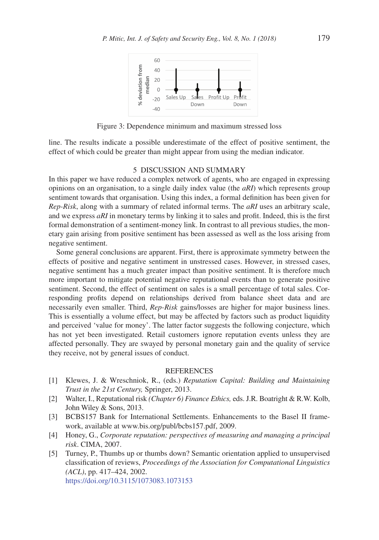

Figure 3: Dependence minimum and maximum stressed loss

line. The results indicate a possible underestimate of the effect of positive sentiment, the effect of which could be greater than might appear from using the median indicator.

## 5 DISCUSSION AND SUMMARY

In this paper we have reduced a complex network of agents, who are engaged in expressing opinions on an organisation, to a single daily index value (the *aRI*) which represents group sentiment towards that organisation. Using this index, a formal definition has been given for *Rep-Risk*, along with a summary of related informal terms. The *aRI* uses an arbitrary scale, and we express *aRI* in monetary terms by linking it to sales and profit. Indeed, this is the first formal demonstration of a sentiment-money link. In contrast to all previous studies, the monetary gain arising from positive sentiment has been assessed as well as the loss arising from negative sentiment.

Some general conclusions are apparent. First, there is approximate symmetry between the effects of positive and negative sentiment in unstressed cases. However, in stressed cases, negative sentiment has a much greater impact than positive sentiment. It is therefore much more important to mitigate potential negative reputational events than to generate positive sentiment. Second, the effect of sentiment on sales is a small percentage of total sales. Corresponding profits depend on relationships derived from balance sheet data and are necessarily even smaller. Third, *Rep-Risk* gains/losses are higher for major business lines. This is essentially a volume effect, but may be affected by factors such as product liquidity and perceived 'value for money'. The latter factor suggests the following conjecture, which has not yet been investigated. Retail customers ignore reputation events unless they are affected personally. They are swayed by personal monetary gain and the quality of service they receive, not by general issues of conduct.

## REFERENCES

- [1] Klewes, J. & Wreschniok, R., (eds.) *Reputation Capital: Building and Maintaining Trust in the 21st Century,* Springer, 2013.
- [2] Walter, I., Reputational risk *(Chapter 6) Finance Ethics,* eds. J.R. Boatright & R.W. Kolb, John Wiley & Sons, 2013.
- [3] BCBS157 Bank for International Settlements. Enhancements to the Basel II framework, available at www.bis.org/publ/bcbs157.pdf, 2009.
- [4] Honey, G., *Corporate reputation: perspectives of measuring and managing a principal risk*. CIMA, 2007.
- [5] Turney, P., Thumbs up or thumbs down? Semantic orientation applied to unsupervised classification of reviews, *Proceedings of the Association for Computational Linguistics (ACL)*, pp. 417–424, 2002. https://doi.org/10.3115/1073083.1073153